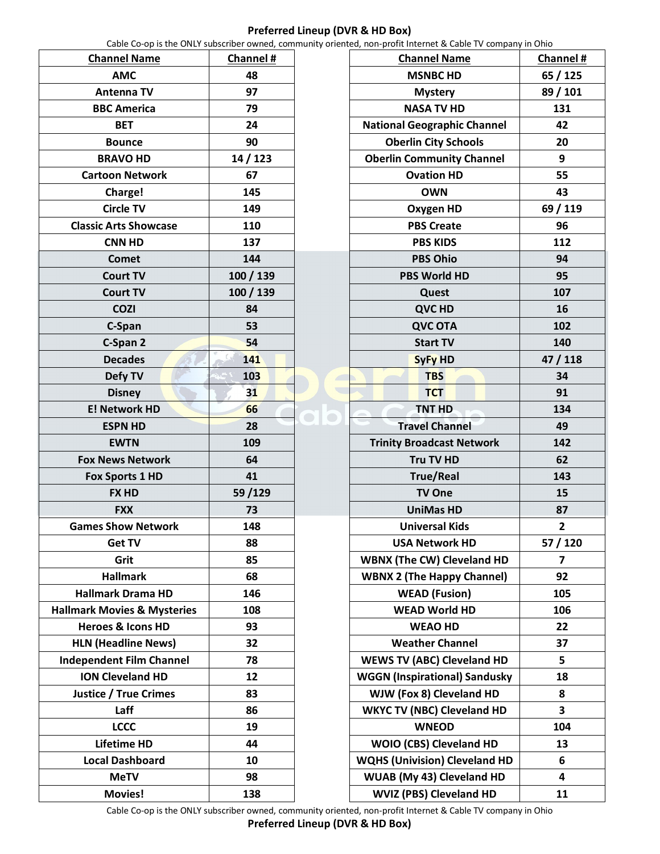## **Preferred Lineup (DVR & HD Box)**

Cable Co-op is the ONLY subscriber owned, community oriented, non-profit Internet & Cable TV company in Ohio

| <b>Channel Name</b>                    | <b>Channel#</b> |
|----------------------------------------|-----------------|
| <b>AMC</b>                             | 48              |
| <b>Antenna TV</b>                      | 97              |
| <b>BBC America</b>                     | 79              |
| <b>BET</b>                             | 24              |
| <b>Bounce</b>                          | 90              |
| <b>BRAVO HD</b>                        | 14 / 123        |
| <b>Cartoon Network</b>                 | 67              |
| Charge!                                | 145             |
| <b>Circle TV</b>                       | 149             |
| <b>Classic Arts Showcase</b>           | 110             |
| <b>CNN HD</b>                          | 137             |
| <b>Comet</b>                           | 144             |
| <b>Court TV</b>                        | 100 / 139       |
| <b>Court TV</b>                        | 100 / 139       |
| <b>COZI</b>                            | 84              |
| C-Span                                 | 53              |
| C-Span 2                               | 54              |
| <b>Decades</b>                         | 141             |
| Defy TV                                | 103             |
| <b>Disney</b>                          | 31              |
| <b>E! Network HD</b>                   | 66              |
| <b>ESPN HD</b>                         | 28              |
| <b>EWTN</b>                            | 109             |
| <b>Fox News Network</b>                | 64              |
| <b>Fox Sports 1 HD</b>                 | 41              |
| <b>FX HD</b>                           | 59/129          |
| <b>FXX</b>                             | 73              |
| <b>Games Show Network</b>              | 148             |
| <b>Get TV</b>                          | 88              |
| Grit                                   | 85              |
| <b>Hallmark</b>                        | 68              |
| <b>Hallmark Drama HD</b>               | 146             |
| <b>Hallmark Movies &amp; Mysteries</b> | 108             |
| <b>Heroes &amp; Icons HD</b>           | 93              |
| <b>HLN (Headline News)</b>             | 32              |
| <b>Independent Film Channel</b>        | 78              |
| <b>ION Cleveland HD</b>                | 12              |
| <b>Justice / True Crimes</b>           | 83              |
| Laff                                   | 86              |
| <b>LCCC</b>                            | 19              |
| <b>Lifetime HD</b>                     | 44              |
| <b>Local Dashboard</b>                 | 10              |
| <b>MeTV</b>                            | 98              |
| <b>Movies!</b>                         | 138             |

| <b>Channel Name</b>                  | Channel # |
|--------------------------------------|-----------|
| <b>MSNBC HD</b>                      | 65 / 125  |
| <b>Mystery</b>                       | 89 / 101  |
| <b>NASA TV HD</b>                    | 131       |
| <b>National Geographic Channel</b>   | 42        |
| <b>Oberlin City Schools</b>          | 20        |
| <b>Oberlin Community Channel</b>     | 9         |
| <b>Ovation HD</b>                    | 55        |
| <b>OWN</b>                           | 43        |
| <b>Oxygen HD</b>                     | 69 / 119  |
| <b>PBS Create</b>                    | 96        |
| <b>PBS KIDS</b>                      | 112       |
| <b>PBS Ohio</b>                      | 94        |
| <b>PBS World HD</b>                  | 95        |
| Quest                                | 107       |
| <b>QVC HD</b>                        | 16        |
| <b>QVC OTA</b>                       | 102       |
| <b>Start TV</b>                      | 140       |
| <b>SyFy HD</b>                       | 47 / 118  |
| <b>TBS</b>                           | 34        |
| <b>TCT</b>                           | 91        |
| <b>TNT HD</b>                        | 134       |
| <b>Travel Channel</b>                | 49        |
| <b>Trinity Broadcast Network</b>     | 142       |
| Tru TV HD                            | 62        |
| <b>True/Real</b>                     | 143       |
| <b>TV One</b>                        | 15        |
| <b>UniMas HD</b>                     | 87        |
| <b>Universal Kids</b>                | 2         |
| <b>USA Network HD</b>                | 57 / 120  |
| <b>WBNX (The CW) Cleveland HD</b>    | 7         |
| <b>WBNX 2 (The Happy Channel)</b>    | 92        |
| <b>WEAD (Fusion)</b>                 | 105       |
| <b>WEAD World HD</b>                 | 106       |
| <b>WEAO HD</b>                       | 22        |
| <b>Weather Channel</b>               | 37        |
| <b>WEWS TV (ABC) Cleveland HD</b>    | 5         |
| <b>WGGN (Inspirational) Sandusky</b> | 18        |
| WJW (Fox 8) Cleveland HD             | 8         |
| <b>WKYC TV (NBC) Cleveland HD</b>    | 3         |
| <b>WNEOD</b>                         | 104       |
| WOIO (CBS) Cleveland HD              | 13        |
| <b>WQHS (Univision) Cleveland HD</b> | 6         |
| WUAB (My 43) Cleveland HD            | 4         |
| WVIZ (PBS) Cleveland HD              | 11        |

Cable Co-op is the ONLY subscriber owned, community oriented, non-profit Internet & Cable TV company in Ohio